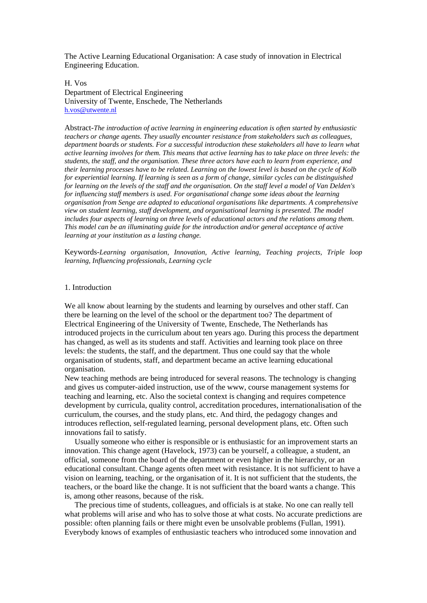The Active Learning Educational Organisation: A case study of innovation in Electrical Engineering Education.

H. Vos Department of Electrical Engineering University of Twente, Enschede, The Netherlands [h.vos@utwente.nl](mailto:h.vos@utwente.nl)

Abstract-*The introduction of active learning in engineering education is often started by enthusiastic teachers or change agents. They usually encounter resistance from stakeholders such as colleagues, department boards or students. For a successful introduction these stakeholders all have to learn what active learning involves for them. This means that active learning has to take place on three levels: the students, the staff, and the organisation. These three actors have each to learn from experience, and their learning processes have to be related. Learning on the lowest level is based on the cycle of Kolb for experiential learning. If learning is seen as a form of change, similar cycles can be distinguished for learning on the levels of the staff and the organisation. On the staff level a model of Van Delden's for influencing staff members is used. For organisational change some ideas about the learning organisation from Senge are adapted to educational organisations like departments. A comprehensive view on student learning, staff development, and organisational learning is presented. The model includes four aspects of learning on three levels of educational actors and the relations among them. This model can be an illuminating guide for the introduction and/or general acceptance of active learning at your institution as a lasting change.* 

Keywords-*Learning organisation, Innovation, Active learning, Teaching projects, Triple loop learning, Influencing professionals, Learning cycle* 

## 1. Introduction

We all know about learning by the students and learning by ourselves and other staff. Can there be learning on the level of the school or the department too? The department of Electrical Engineering of the University of Twente, Enschede, The Netherlands has introduced projects in the curriculum about ten years ago. During this process the department has changed, as well as its students and staff. Activities and learning took place on three levels: the students, the staff, and the department. Thus one could say that the whole organisation of students, staff, and department became an active learning educational organisation.

New teaching methods are being introduced for several reasons. The technology is changing and gives us computer-aided instruction, use of the www, course management systems for teaching and learning, etc. Also the societal context is changing and requires competence development by curricula, quality control, accreditation procedures, internationalisation of the curriculum, the courses, and the study plans, etc. And third, the pedagogy changes and introduces reflection, self-regulated learning, personal development plans, etc. Often such innovations fail to satisfy.

Usually someone who either is responsible or is enthusiastic for an improvement starts an innovation. This change agent (Havelock, 1973) can be yourself, a colleague, a student, an official, someone from the board of the department or even higher in the hierarchy, or an educational consultant. Change agents often meet with resistance. It is not sufficient to have a vision on learning, teaching, or the organisation of it. It is not sufficient that the students, the teachers, or the board like the change. It is not sufficient that the board wants a change. This is, among other reasons, because of the risk.

The precious time of students, colleagues, and officials is at stake. No one can really tell what problems will arise and who has to solve those at what costs. No accurate predictions are possible: often planning fails or there might even be unsolvable problems (Fullan, 1991). Everybody knows of examples of enthusiastic teachers who introduced some innovation and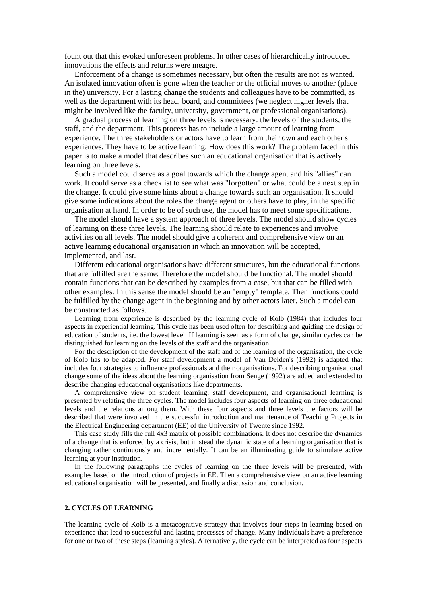fount out that this evoked unforeseen problems. In other cases of hierarchically introduced innovations the effects and returns were meagre.

Enforcement of a change is sometimes necessary, but often the results are not as wanted. An isolated innovation often is gone when the teacher or the official moves to another (place in the) university. For a lasting change the students and colleagues have to be committed, as well as the department with its head, board, and committees (we neglect higher levels that might be involved like the faculty, university, government, or professional organisations).

A gradual process of learning on three levels is necessary: the levels of the students, the staff, and the department. This process has to include a large amount of learning from experience. The three stakeholders or actors have to learn from their own and each other's experiences. They have to be active learning. How does this work? The problem faced in this paper is to make a model that describes such an educational organisation that is actively learning on three levels.

Such a model could serve as a goal towards which the change agent and his "allies" can work. It could serve as a checklist to see what was "forgotten" or what could be a next step in the change. It could give some hints about a change towards such an organisation. It should give some indications about the roles the change agent or others have to play, in the specific organisation at hand. In order to be of such use, the model has to meet some specifications.

The model should have a system approach of three levels. The model should show cycles of learning on these three levels. The learning should relate to experiences and involve activities on all levels. The model should give a coherent and comprehensive view on an active learning educational organisation in which an innovation will be accepted, implemented, and last.

Different educational organisations have different structures, but the educational functions that are fulfilled are the same: Therefore the model should be functional. The model should contain functions that can be described by examples from a case, but that can be filled with other examples. In this sense the model should be an "empty" template. Then functions could be fulfilled by the change agent in the beginning and by other actors later. Such a model can be constructed as follows.

Learning from experience is described by the learning cycle of Kolb (1984) that includes four aspects in experiential learning. This cycle has been used often for describing and guiding the design of education of students, i.e. the lowest level. If learning is seen as a form of change, similar cycles can be distinguished for learning on the levels of the staff and the organisation.

For the description of the development of the staff and of the learning of the organisation, the cycle of Kolb has to be adapted. For staff development a model of Van Delden's (1992) is adapted that includes four strategies to influence professionals and their organisations. For describing organisational change some of the ideas about the learning organisation from Senge (1992) are added and extended to describe changing educational organisations like departments.

A comprehensive view on student learning, staff development, and organisational learning is presented by relating the three cycles. The model includes four aspects of learning on three educational levels and the relations among them. With these four aspects and three levels the factors will be described that were involved in the successful introduction and maintenance of Teaching Projects in the Electrical Engineering department (EE) of the University of Twente since 1992.

This case study fills the full 4x3 matrix of possible combinations. It does not describe the dynamics of a change that is enforced by a crisis, but in stead the dynamic state of a learning organisation that is changing rather continuously and incrementally. It can be an illuminating guide to stimulate active learning at your institution.

In the following paragraphs the cycles of learning on the three levels will be presented, with examples based on the introduction of projects in EE. Then a comprehensive view on an active learning educational organisation will be presented, and finally a discussion and conclusion.

# **2. CYCLES OF LEARNING**

The learning cycle of Kolb is a metacognitive strategy that involves four steps in learning based on experience that lead to successful and lasting processes of change. Many individuals have a preference for one or two of these steps (learning styles). Alternatively, the cycle can be interpreted as four aspects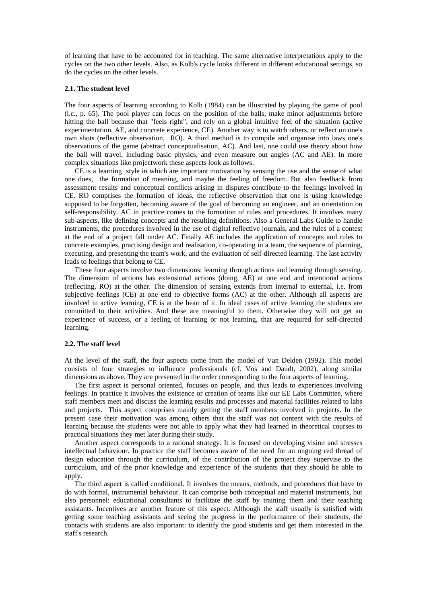of learning that have to be accounted for in teaching. The same alternative interpretations apply to the cycles on the two other levels. Also, as Kolb's cycle looks different in different educational settings, so do the cycles on the other levels.

#### **2.1. The student level**

The four aspects of learning according to Kolb (1984) can be illustrated by playing the game of pool (l.c., p. 65). The pool player can focus on the position of the balls, make minor adjustments before hitting the ball because that "feels right", and rely on a global intuitive feel of the situation (active experimentation, AE, and concrete experience, CE). Another way is to watch others, or reflect on one's own shots (reflective observation, RO). A third method is to compile and organise into laws one's observations of the game (abstract conceptualisation, AC). And last, one could use theory about how the ball will travel, including basic physics, and even measure out angles (AC and AE). In more complex situations like projectwork these aspects look as follows.

 CE is a learning style in which are important motivation by sensing the use and the sense of what one does, the formation of meaning, and maybe the feeling of freedom. But also feedback from assessment results and conceptual conflicts arising in disputes contribute to the feelings involved in CE. RO comprises the formation of ideas, the reflective observation that one is using knowledge supposed to be forgotten, becoming aware of the goal of becoming an engineer, and an orientation on self-responsibility. AC in practice comes to the formation of rules and procedures. It involves many sub-aspects, like defining concepts and the resulting definitions. Also a General Labs Guide to handle instruments, the procedures involved in the use of digital reflective journals, and the rules of a contest at the end of a project fall under AC. Finally AE includes the application of concepts and rules to concrete examples, practising design and realisation, co-operating in a team, the sequence of planning, executing, and presenting the team's work, and the evaluation of self-directed learning. The last activity leads to feelings that belong to CE.

These four aspects involve two dimensions: learning through actions and learning through sensing. The dimension of actions has extensional actions (doing, AE) at one end and intentional actions (reflecting, RO) at the other. The dimension of sensing extends from internal to external, i.e. from subjective feelings (CE) at one end to objective forms (AC) at the other. Although all aspects are involved in active learning, CE is at the heart of it. In ideal cases of active learning the students are committed to their activities. And these are meaningful to them. Otherwise they will not get an experience of success, or a feeling of learning or not learning, that are required for self-directed learning.

## **2.2. The staff level**

At the level of the staff, the four aspects come from the model of Van Delden (1992). This model consists of four strategies to influence professionals (cf. Vos and Daudt, 2002), along similar dimensions as above. They are presented in the order corresponding to the four aspects of learning.

The first aspect is personal oriented, focuses on people, and thus leads to experiences involving feelings. In practice it involves the existence or creation of teams like our EE Labs Committee, where staff members meet and discuss the learning results and processes and material facilities related to labs and projects. This aspect comprises mainly getting the staff members involved in projects. In the present case their motivation was among others that the staff was not content with the results of learning because the students were not able to apply what they had learned in theoretical courses to practical situations they met later during their study.

Another aspect corresponds to a rational strategy. It is focused on developing vision and stresses intellectual behaviour. In practice the staff becomes aware of the need for an ongoing red thread of design education through the curriculum, of the contribution of the project they supervise to the curriculum, and of the prior knowledge and experience of the students that they should be able to apply.

The third aspect is called conditional. It involves the means, methods, and procedures that have to do with formal, instrumental behaviour. It can comprise both conceptual and material instruments, but also personnel: educational consultants to facilitate the staff by training them and their teaching assistants. Incentives are another feature of this aspect. Although the staff usually is satisfied with getting some teaching assistants and seeing the progress in the performance of their students, the contacts with students are also important: to identify the good students and get them interested in the staff's research.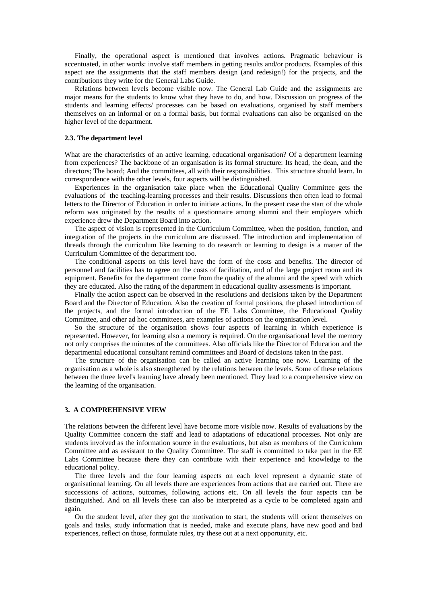Finally, the operational aspect is mentioned that involves actions. Pragmatic behaviour is accentuated, in other words: involve staff members in getting results and/or products. Examples of this aspect are the assignments that the staff members design (and redesign!) for the projects, and the contributions they write for the General Labs Guide.

 Relations between levels become visible now. The General Lab Guide and the assignments are major means for the students to know what they have to do, and how. Discussion on progress of the students and learning effects/ processes can be based on evaluations, organised by staff members themselves on an informal or on a formal basis, but formal evaluations can also be organised on the higher level of the department.

#### **2.3. The department level**

What are the characteristics of an active learning, educational organisation? Of a department learning from experiences? The backbone of an organisation is its formal structure: Its head, the dean, and the directors; The board; And the committees, all with their responsibilities. This structure should learn. In correspondence with the other levels, four aspects will be distinguished.

 Experiences in the organisation take place when the Educational Quality Committee gets the evaluations of the teaching-learning processes and their results. Discussions then often lead to formal letters to the Director of Education in order to initiate actions. In the present case the start of the whole reform was originated by the results of a questionnaire among alumni and their employers which experience drew the Department Board into action.

 The aspect of vision is represented in the Curriculum Committee, when the position, function, and integration of the projects in the curriculum are discussed. The introduction and implementation of threads through the curriculum like learning to do research or learning to design is a matter of the Curriculum Committee of the department too.

 The conditional aspects on this level have the form of the costs and benefits. The director of personnel and facilities has to agree on the costs of facilitation, and of the large project room and its equipment. Benefits for the department come from the quality of the alumni and the speed with which they are educated. Also the rating of the department in educational quality assessments is important.

 Finally the action aspect can be observed in the resolutions and decisions taken by the Department Board and the Director of Education. Also the creation of formal positions, the phased introduction of the projects, and the formal introduction of the EE Labs Committee, the Educational Quality Committee, and other ad hoc committees, are examples of actions on the organisation level.

So the structure of the organisation shows four aspects of learning in which experience is represented. However, for learning also a memory is required. On the organisational level the memory not only comprises the minutes of the committees. Also officials like the Director of Education and the departmental educational consultant remind committees and Board of decisions taken in the past.

The structure of the organisation can be called an active learning one now. Learning of the organisation as a whole is also strengthened by the relations between the levels. Some of these relations between the three level's learning have already been mentioned. They lead to a comprehensive view on the learning of the organisation.

#### **3. A COMPREHENSIVE VIEW**

The relations between the different level have become more visible now. Results of evaluations by the Quality Committee concern the staff and lead to adaptations of educational processes. Not only are students involved as the information source in the evaluations, but also as members of the Curriculum Committee and as assistant to the Quality Committee. The staff is committed to take part in the EE Labs Committee because there they can contribute with their experience and knowledge to the educational policy.

The three levels and the four learning aspects on each level represent a dynamic state of organisational learning. On all levels there are experiences from actions that are carried out. There are successions of actions, outcomes, following actions etc. On all levels the four aspects can be distinguished. And on all levels these can also be interpreted as a cycle to be completed again and again.

On the student level, after they got the motivation to start, the students will orient themselves on goals and tasks, study information that is needed, make and execute plans, have new good and bad experiences, reflect on those, formulate rules, try these out at a next opportunity, etc.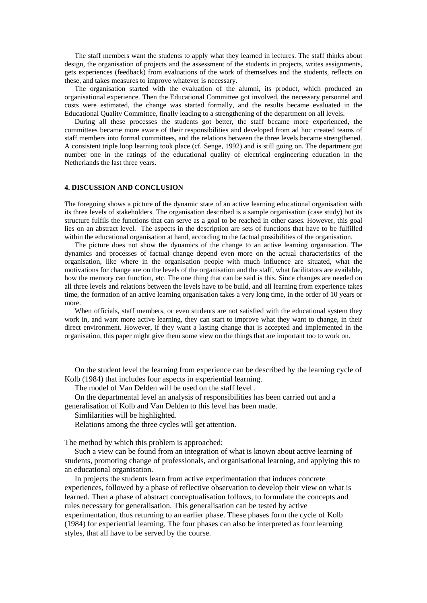The staff members want the students to apply what they learned in lectures. The staff thinks about design, the organisation of projects and the assessment of the students in projects, writes assignments, gets experiences (feedback) from evaluations of the work of themselves and the students, reflects on these, and takes measures to improve whatever is necessary.

The organisation started with the evaluation of the alumni, its product, which produced an organisational experience. Then the Educational Committee got involved, the necessary personnel and costs were estimated, the change was started formally, and the results became evaluated in the Educational Quality Committee, finally leading to a strengthening of the department on all levels.

During all these processes the students got better, the staff became more experienced, the committees became more aware of their responsibilities and developed from ad hoc created teams of staff members into formal committees, and the relations between the three levels became strengthened. A consistent triple loop learning took place (cf. Senge, 1992) and is still going on. The department got number one in the ratings of the educational quality of electrical engineering education in the Netherlands the last three years.

## **4. DISCUSSION AND CONCLUSION**

The foregoing shows a picture of the dynamic state of an active learning educational organisation with its three levels of stakeholders. The organisation described is a sample organisation (case study) but its structure fulfils the functions that can serve as a goal to be reached in other cases. However, this goal lies on an abstract level. The aspects in the description are sets of functions that have to be fulfilled within the educational organisation at hand, according to the factual possibilities of the organisation.

The picture does not show the dynamics of the change to an active learning organisation. The dynamics and processes of factual change depend even more on the actual characteristics of the organisation, like where in the organisation people with much influence are situated, what the motivations for change are on the levels of the organisation and the staff, what facilitators are available, how the memory can function, etc. The one thing that can be said is this. Since changes are needed on all three levels and relations between the levels have to be build, and all learning from experience takes time, the formation of an active learning organisation takes a very long time, in the order of 10 years or more.

When officials, staff members, or even students are not satisfied with the educational system they work in, and want more active learning, they can start to improve what they want to change, in their direct environment. However, if they want a lasting change that is accepted and implemented in the organisation, this paper might give them some view on the things that are important too to work on.

On the student level the learning from experience can be described by the learning cycle of Kolb (1984) that includes four aspects in experiential learning.

The model of Van Delden will be used on the staff level .

On the departmental level an analysis of responsibilities has been carried out and a generalisation of Kolb and Van Delden to this level has been made.

Simlilarities will be highlighted.

Relations among the three cycles will get attention.

The method by which this problem is approached:

Such a view can be found from an integration of what is known about active learning of students, promoting change of professionals, and organisational learning, and applying this to an educational organisation.

In projects the students learn from active experimentation that induces concrete experiences, followed by a phase of reflective observation to develop their view on what is learned. Then a phase of abstract conceptualisation follows, to formulate the concepts and rules necessary for generalisation. This generalisation can be tested by active experimentation, thus returning to an earlier phase. These phases form the cycle of Kolb (1984) for experiential learning. The four phases can also be interpreted as four learning styles, that all have to be served by the course.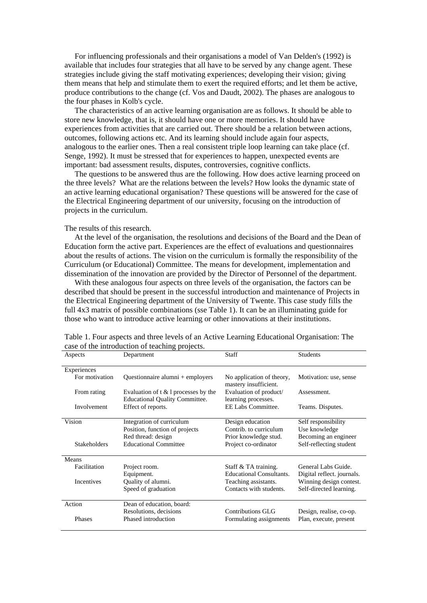For influencing professionals and their organisations a model of Van Delden's (1992) is available that includes four strategies that all have to be served by any change agent. These strategies include giving the staff motivating experiences; developing their vision; giving them means that help and stimulate them to exert the required efforts; and let them be active, produce contributions to the change (cf. Vos and Daudt, 2002). The phases are analogous to the four phases in Kolb's cycle.

The characteristics of an active learning organisation are as follows. It should be able to store new knowledge, that is, it should have one or more memories. It should have experiences from activities that are carried out. There should be a relation between actions, outcomes, following actions etc. And its learning should include again four aspects, analogous to the earlier ones. Then a real consistent triple loop learning can take place (cf. Senge, 1992). It must be stressed that for experiences to happen, unexpected events are important: bad assessment results, disputes, controversies, cognitive conflicts.

The questions to be answered thus are the following. How does active learning proceed on the three levels? What are the relations between the levels? How looks the dynamic state of an active learning educational organisation? These questions will be answered for the case of the Electrical Engineering department of our university, focusing on the introduction of projects in the curriculum.

The results of this research.

At the level of the organisation, the resolutions and decisions of the Board and the Dean of Education form the active part. Experiences are the effect of evaluations and questionnaires about the results of actions. The vision on the curriculum is formally the responsibility of the Curriculum (or Educational) Committee. The means for development, implementation and dissemination of the innovation are provided by the Director of Personnel of the department.

With these analogous four aspects on three levels of the organisation, the factors can be described that should be present in the successful introduction and maintenance of Projects in the Electrical Engineering department of the University of Twente. This case study fills the full 4x3 matrix of possible combinations (sse Table 1). It can be an illuminating guide for those who want to introduce active learning or other innovations at their institutions.

| Aspects             | Department                                                                        | Staff                                                               | <b>Students</b>                                              |
|---------------------|-----------------------------------------------------------------------------------|---------------------------------------------------------------------|--------------------------------------------------------------|
| Experiences         |                                                                                   |                                                                     |                                                              |
| For motivation      | Questionnaire alumni + employers                                                  | No application of theory,<br>mastery insufficient.                  | Motivation: use, sense                                       |
| From rating         | Evaluation of $t \& 1$ processes by the<br><b>Educational Quality Committee.</b>  | Evaluation of product/<br>learning processes.                       | Assessment.                                                  |
| Involvement         | Effect of reports.                                                                | EE Labs Committee.                                                  | Teams. Disputes.                                             |
| Vision              | Integration of curriculum<br>Position, function of projects<br>Red thread: design | Design education<br>Contrib. to curriculum<br>Prior knowledge stud. | Self responsibility<br>Use knowledge<br>Becoming an engineer |
| <b>Stakeholders</b> | <b>Educational Committee</b>                                                      | Project co-ordinator                                                | Self-reflecting student                                      |
| Means               |                                                                                   |                                                                     |                                                              |
| Facilitation        | Project room.<br>Equipment.                                                       | Staff & TA training.<br><b>Educational Consultants.</b>             | General Labs Guide.<br>Digital reflect. journals.            |
| <b>Incentives</b>   | Quality of alumni.<br>Speed of graduation                                         | Teaching assistants.<br>Contacts with students.                     | Winning design contest.<br>Self-directed learning.           |
| Action              | Dean of education, board:                                                         |                                                                     |                                                              |
| Phases              | Resolutions, decisions<br>Phased introduction                                     | Contributions GLG<br>Formulating assignments                        | Design, realise, co-op.<br>Plan, execute, present            |

Table 1. Four aspects and three levels of an Active Learning Educational Organisation: The case of the introduction of teaching projects.